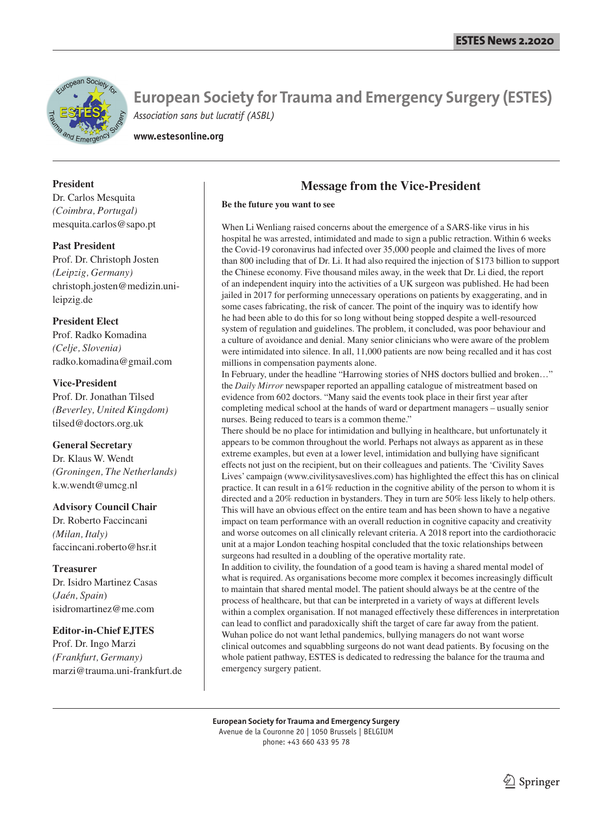

**European Society for Trauma and Emergency Surgery (ESTES)** *Association sans but lucratif (ASBL)*

**www.estesonline.org**

#### **President**

Dr. Carlos Mesquita *(Coimbra, Portugal)* mesquita.carlos@sapo.pt

#### **Past President**

Prof. Dr. Christoph Josten *(Leipzig, Germany)* christoph.josten@medizin.unileipzig.de

#### **President Elect**

Prof. Radko Komadina *(Celje, Slovenia)* radko.komadina@gmail.com

#### **Vice-President**

Prof. Dr. Jonathan Tilsed *(Beverley, United Kingdom)* tilsed@doctors.org.uk

#### **General Secretary**

Dr. Klaus W. Wendt *(Groningen, The Netherlands)* k.w.wendt@umcg.nl

#### **Advisory Council Chair**

Dr. Roberto Faccincani *(Milan, Italy)* faccincani.roberto@hsr.it

#### **Treasurer**

Dr. Isidro Martinez Casas (*Jaén, Spain*) isidromartinez@me.com

#### **Editor-in-Chief EJTES**

Prof. Dr. Ingo Marzi *(Frankfurt, Germany)* marzi@trauma.uni-frankfurt.de

## **Message from the Vice-President**

#### **Be the future you want to see**

When Li Wenliang raised concerns about the emergence of a SARS-like virus in his hospital he was arrested, intimidated and made to sign a public retraction. Within 6 weeks the Covid-19 coronavirus had infected over 35,000 people and claimed the lives of more than 800 including that of Dr. Li. It had also required the injection of \$173 billion to support the Chinese economy. Five thousand miles away, in the week that Dr. Li died, the report of an independent inquiry into the activities of a UK surgeon was published. He had been jailed in 2017 for performing unnecessary operations on patients by exaggerating, and in some cases fabricating, the risk of cancer. The point of the inquiry was to identify how he had been able to do this for so long without being stopped despite a well-resourced system of regulation and guidelines. The problem, it concluded, was poor behaviour and a culture of avoidance and denial. Many senior clinicians who were aware of the problem were intimidated into silence. In all, 11,000 patients are now being recalled and it has cost millions in compensation payments alone.

In February, under the headline "Harrowing stories of NHS doctors bullied and broken…" the *Daily Mirror* newspaper reported an appalling catalogue of mistreatment based on evidence from 602 doctors. "Many said the events took place in their first year after completing medical school at the hands of ward or department managers – usually senior nurses. Being reduced to tears is a common theme."

There should be no place for intimidation and bullying in healthcare, but unfortunately it appears to be common throughout the world. Perhaps not always as apparent as in these extreme examples, but even at a lower level, intimidation and bullying have significant effects not just on the recipient, but on their colleagues and patients. The 'Civility Saves Lives' campaign (www.civilitysaveslives.com) has highlighted the effect this has on clinical practice. It can result in a 61% reduction in the cognitive ability of the person to whom it is directed and a 20% reduction in bystanders. They in turn are 50% less likely to help others. This will have an obvious effect on the entire team and has been shown to have a negative impact on team performance with an overall reduction in cognitive capacity and creativity and worse outcomes on all clinically relevant criteria. A 2018 report into the cardiothoracic unit at a major London teaching hospital concluded that the toxic relationships between surgeons had resulted in a doubling of the operative mortality rate.

In addition to civility, the foundation of a good team is having a shared mental model of what is required. As organisations become more complex it becomes increasingly difficult to maintain that shared mental model. The patient should always be at the centre of the process of healthcare, but that can be interpreted in a variety of ways at different levels within a complex organisation. If not managed effectively these differences in interpretation can lead to conflict and paradoxically shift the target of care far away from the patient. Wuhan police do not want lethal pandemics, bullying managers do not want worse clinical outcomes and squabbling surgeons do not want dead patients. By focusing on the whole patient pathway, ESTES is dedicated to redressing the balance for the trauma and emergency surgery patient.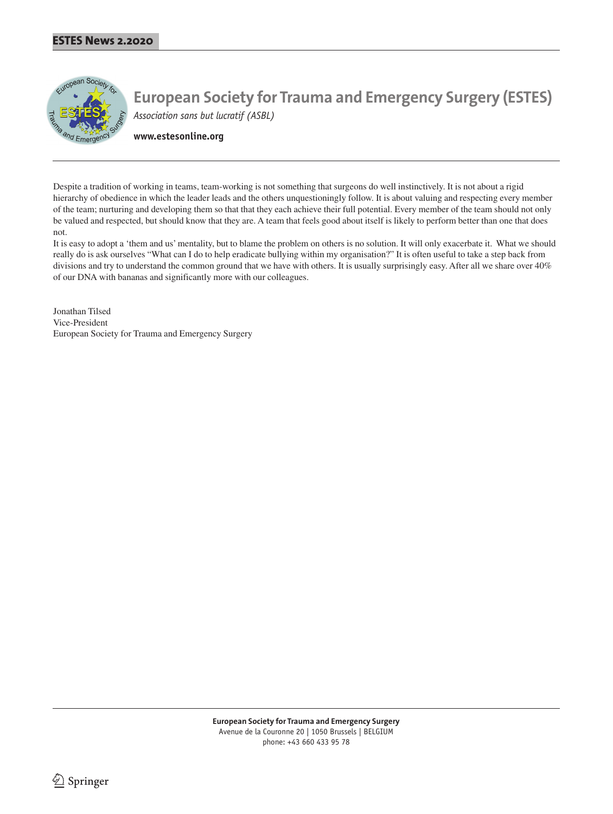

**European Society for Trauma and Emergency Surgery (ESTES)** *Association sans but lucratif (ASBL)*

**www.estesonline.org**

Despite a tradition of working in teams, team-working is not something that surgeons do well instinctively. It is not about a rigid hierarchy of obedience in which the leader leads and the others unquestioningly follow. It is about valuing and respecting every member of the team; nurturing and developing them so that that they each achieve their full potential. Every member of the team should not only be valued and respected, but should know that they are. A team that feels good about itself is likely to perform better than one that does not.

It is easy to adopt a 'them and us' mentality, but to blame the problem on others is no solution. It will only exacerbate it. What we should really do is ask ourselves "What can I do to help eradicate bullying within my organisation?" It is often useful to take a step back from divisions and try to understand the common ground that we have with others. It is usually surprisingly easy. After all we share over 40% of our DNA with bananas and significantly more with our colleagues.

Jonathan Tilsed Vice-President European Society for Trauma and Emergency Surgery